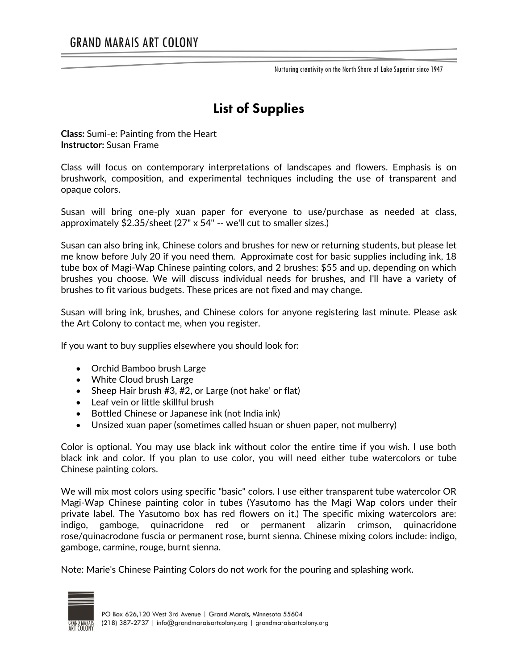Nurturing creativity on the North Shore of Lake Superior since 1947

## **List of Supplies**

**Class:** Sumi-e: Painting from the Heart **Instructor:** Susan Frame

Class will focus on contemporary interpretations of landscapes and flowers. Emphasis is on brushwork, composition, and experimental techniques including the use of transparent and opaque colors.

Susan will bring one-ply xuan paper for everyone to use/purchase as needed at class, approximately \$2.35/sheet (27" x 54" -- we'll cut to smaller sizes.)

Susan can also bring ink, Chinese colors and brushes for new or returning students, but please let me know before July 20 if you need them. Approximate cost for basic supplies including ink, 18 tube box of Magi-Wap Chinese painting colors, and 2 brushes: \$55 and up, depending on which brushes you choose. We will discuss individual needs for brushes, and I'll have a variety of brushes to fit various budgets. These prices are not fixed and may change.

Susan will bring ink, brushes, and Chinese colors for anyone registering last minute. Please ask the Art Colony to contact me, when you register.

If you want to buy supplies elsewhere you should look for:

- Orchid Bamboo brush Large
- White Cloud brush Large
- Sheep Hair brush #3, #2, or Large (not hake' or flat)
- Leaf vein or little skillful brush
- Bottled Chinese or Japanese ink (not India ink)
- Unsized xuan paper (sometimes called hsuan or shuen paper, not mulberry)

Color is optional. You may use black ink without color the entire time if you wish. I use both black ink and color. If you plan to use color, you will need either tube watercolors or tube Chinese painting colors.

We will mix most colors using specific "basic" colors. I use either transparent tube watercolor OR Magi-Wap Chinese painting color in tubes (Yasutomo has the Magi Wap colors under their private label. The Yasutomo box has red flowers on it.) The specific mixing watercolors are: indigo, gamboge, quinacridone red or permanent alizarin crimson, quinacridone rose/quinacrodone fuscia or permanent rose, burnt sienna. Chinese mixing colors include: indigo, gamboge, carmine, rouge, burnt sienna.

Note: Marie's Chinese Painting Colors do not work for the pouring and splashing work.